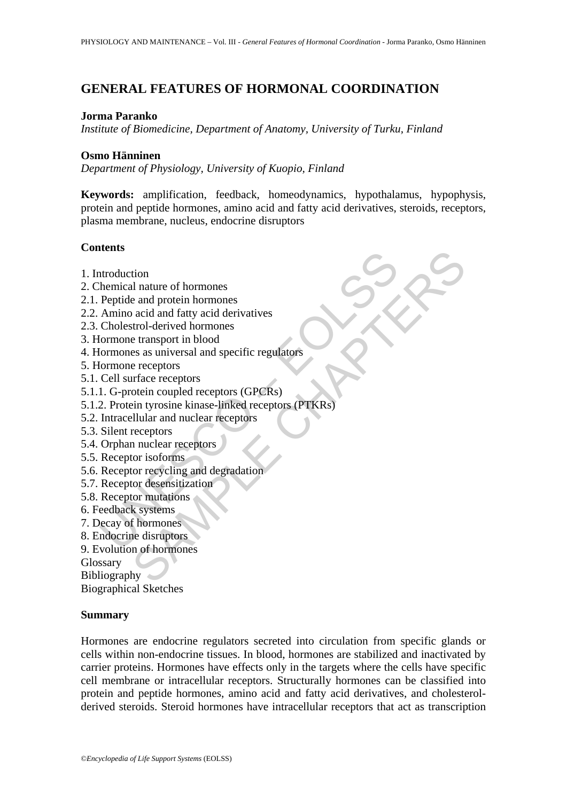# **GENERAL FEATURES OF HORMONAL COORDINATION**

### **Jorma Paranko**

*Institute of Biomedicine, Department of Anatomy, University of Turku, Finland* 

## **Osmo Hänninen**

*Department of Physiology, University of Kuopio, Finland* 

**Keywords:** amplification, feedback, homeodynamics, hypothalamus, hypophysis, protein and peptide hormones, amino acid and fatty acid derivatives, steroids, receptors, plasma membrane, nucleus, endocrine disruptors

# **Contents**

- 1. Introduction
- 2. Chemical nature of hormones
- 2.1. Peptide and protein hormones
- 2.2. Amino acid and fatty acid derivatives
- 2.3. Cholestrol-derived hormones
- 3. Hormone transport in blood
- 4. Hormones as universal and specific regulators
- 5. Hormone receptors
- 5.1. Cell surface receptors
- 5.1.1. G-protein coupled receptors (GPCRs)
- According the microscopy<br>
and a more of hormones<br>
Peptide and protein hormones<br>
Amino acid and fatty acid derivatives<br>
Cholestrol-derived hormones<br>
Commone transport in blood<br>
formones as universal and specific regulators<br> tion<br>
and matter of hormones<br>
a ead and fatty acid derivatives<br>
acid and fatty acid derivatives<br>
acid and fatty acid derivatives<br>
trol-derived hormones<br>
e receptors<br>
infrace receptors<br>
(of enceptors (GPCRS)<br>
control couple 5.1.2. Protein tyrosine kinase-linked receptors (PTKRs)
- 5.2. Intracellular and nuclear receptors
- 5.3. Silent receptors
- 5.4. Orphan nuclear receptors
- 5.5. Receptor isoforms
- 5.6. Receptor recycling and degradation
- 5.7. Receptor desensitization
- 5.8. Receptor mutations
- 6. Feedback systems
- 7. Decay of hormones
- 8. Endocrine disruptors
- 9. Evolution of hormones

Glossary

Bibliography

Biographical Sketches

### **Summary**

Hormones are endocrine regulators secreted into circulation from specific glands or cells within non-endocrine tissues. In blood, hormones are stabilized and inactivated by carrier proteins. Hormones have effects only in the targets where the cells have specific cell membrane or intracellular receptors. Structurally hormones can be classified into protein and peptide hormones, amino acid and fatty acid derivatives, and cholesterolderived steroids. Steroid hormones have intracellular receptors that act as transcription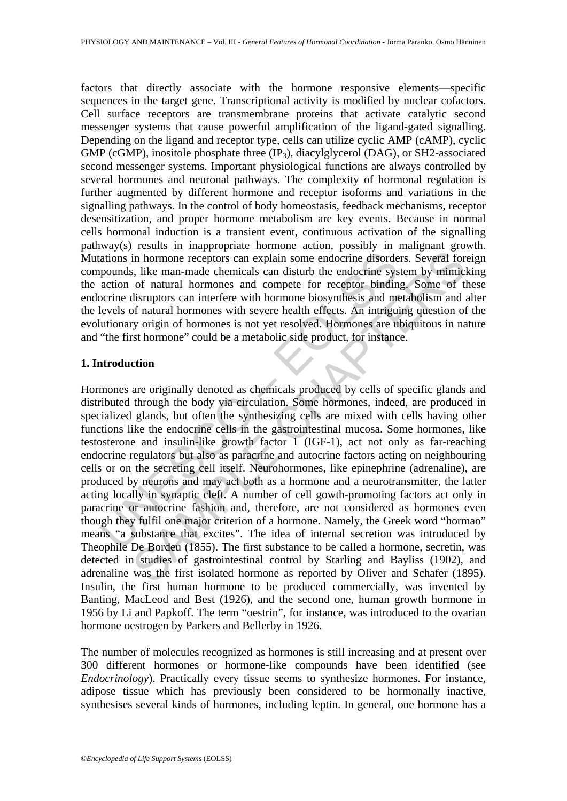factors that directly associate with the hormone responsive elements—specific sequences in the target gene. Transcriptional activity is modified by nuclear cofactors. Cell surface receptors are transmembrane proteins that activate catalytic second messenger systems that cause powerful amplification of the ligand-gated signalling. Depending on the ligand and receptor type, cells can utilize cyclic AMP (cAMP), cyclic GMP (cGMP), inositole phosphate three (IP<sub>3</sub>), diacylglycerol (DAG), or SH2-associated second messenger systems. Important physiological functions are always controlled by several hormones and neuronal pathways. The complexity of hormonal regulation is further augmented by different hormone and receptor isoforms and variations in the signalling pathways. In the control of body homeostasis, feedback mechanisms, receptor desensitization, and proper hormone metabolism are key events. Because in normal cells hormonal induction is a transient event, continuous activation of the signalling pathway(s) results in inappropriate hormone action, possibly in malignant growth. Mutations in hormone receptors can explain some endocrine disorders. Several foreign compounds, like man-made chemicals can disturb the endocrine system by mimicking the action of natural hormones and compete for receptor binding. Some of these endocrine disruptors can interfere with hormone biosynthesis and metabolism and alter the levels of natural hormones with severe health effects. An intriguing question of the evolutionary origin of hormones is not yet resolved. Hormones are ubiquitous in nature and "the first hormone" could be a metabolic side product, for instance.

#### **1. Introduction**

ations in hormone receptors can explain some endocrine disorde<br>pounds, like man-made chemicals can disturb the endocrine system action of natural hormones and compete for receptor bindin<br>ocrine disruptors can interfere wit in hormone receptors can explain some endocrine disorders. Several for<br>in hormone receptors can explain some endocrine disorders. Several for<br>s, like man-made chemicals can disturb the endocrine system by mimic<br>of natural Hormones are originally denoted as chemicals produced by cells of specific glands and distributed through the body via circulation. Some hormones, indeed, are produced in specialized glands, but often the synthesizing cells are mixed with cells having other functions like the endocrine cells in the gastrointestinal mucosa. Some hormones, like testosterone and insulin-like growth factor 1 (IGF-1), act not only as far-reaching endocrine regulators but also as paracrine and autocrine factors acting on neighbouring cells or on the secreting cell itself. Neurohormones, like epinephrine (adrenaline), are produced by neurons and may act both as a hormone and a neurotransmitter, the latter acting locally in synaptic cleft. A number of cell gowth-promoting factors act only in paracrine or autocrine fashion and, therefore, are not considered as hormones even though they fulfil one major criterion of a hormone. Namely, the Greek word "hormao" means "a substance that excites". The idea of internal secretion was introduced by Theophile De Bordeu (1855). The first substance to be called a hormone, secretin, was detected in studies of gastrointestinal control by Starling and Bayliss (1902), and adrenaline was the first isolated hormone as reported by Oliver and Schafer (1895). Insulin, the first human hormone to be produced commercially, was invented by Banting, MacLeod and Best (1926), and the second one, human growth hormone in 1956 by Li and Papkoff. The term "oestrin", for instance, was introduced to the ovarian hormone oestrogen by Parkers and Bellerby in 1926.

The number of molecules recognized as hormones is still increasing and at present over 300 different hormones or hormone-like compounds have been identified (see *Endocrinology*). Practically every tissue seems to synthesize hormones. For instance, adipose tissue which has previously been considered to be hormonally inactive, synthesises several kinds of hormones, including leptin. In general, one hormone has a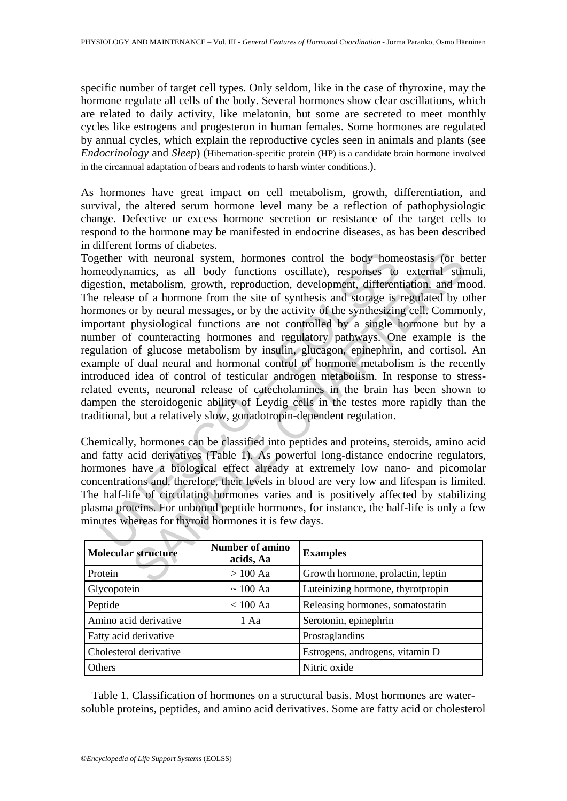specific number of target cell types. Only seldom, like in the case of thyroxine, may the hormone regulate all cells of the body. Several hormones show clear oscillations, which are related to daily activity, like melatonin, but some are secreted to meet monthly cycles like estrogens and progesteron in human females. Some hormones are regulated by annual cycles, which explain the reproductive cycles seen in animals and plants (see *Endocrinology* and *Sleep*) (Hibernation-specific protein (HP) is a candidate brain hormone involved in the circannual adaptation of bears and rodents to harsh winter conditions.).

As hormones have great impact on cell metabolism, growth, differentiation, and survival, the altered serum hormone level many be a reflection of pathophysiologic change. Defective or excess hormone secretion or resistance of the target cells to respond to the hormone may be manifested in endocrine diseases, as has been described in different forms of diabetes.

ether with neuronal system, hormones control the body homeodynamics, as all body functions oscillate), responses to<br>stion, metabolism, growth, reproduction, development, differen<br>release of a hormone from the site of synth with neuronal system, hormones control the body homeostasis (or bamics, as all body functions oscillate), responses to external stime<br>entationsina, growth, reproduction, development, differentiation, and man<br>metabolism, g Together with neuronal system, hormones control the body homeostasis (or better homeodynamics, as all body functions oscillate), responses to external stimuli, digestion, metabolism, growth, reproduction, development, differentiation, and mood. The release of a hormone from the site of synthesis and storage is regulated by other hormones or by neural messages, or by the activity of the synthesizing cell. Commonly, important physiological functions are not controlled by a single hormone but by a number of counteracting hormones and regulatory pathways. One example is the regulation of glucose metabolism by insulin, glucagon, epinephrin, and cortisol. An example of dual neural and hormonal control of hormone metabolism is the recently introduced idea of control of testicular androgen metabolism. In response to stressrelated events, neuronal release of catecholamines in the brain has been shown to dampen the steroidogenic ability of Leydig cells in the testes more rapidly than the traditional, but a relatively slow, gonadotropin-dependent regulation.

Chemically, hormones can be classified into peptides and proteins, steroids, amino acid and fatty acid derivatives (Table 1). As powerful long-distance endocrine regulators, hormones have a biological effect already at extremely low nano- and picomolar concentrations and, therefore, their levels in blood are very low and lifespan is limited. The half-life of circulating hormones varies and is positively affected by stabilizing plasma proteins. For unbound peptide hormones, for instance, the half-life is only a few minutes whereas for thyroid hormones it is few days.

| <b>Molecular structure</b> | <b>Number of amino</b><br>acids, Aa | <b>Examples</b>                   |
|----------------------------|-------------------------------------|-----------------------------------|
| Protein                    | $>100$ Aa                           | Growth hormone, prolactin, leptin |
| Glycopotein                | $\sim 100$ Aa                       | Luteinizing hormone, thyrotpropin |
| Peptide                    | $< 100$ Aa                          | Releasing hormones, somatostatin  |
| Amino acid derivative      | 1 Aa                                | Serotonin, epinephrin             |
| Fatty acid derivative      |                                     | Prostaglandins                    |
| Cholesterol derivative     |                                     | Estrogens, androgens, vitamin D   |
| Others                     |                                     | Nitric oxide                      |

Table 1. Classification of hormones on a structural basis. Most hormones are watersoluble proteins, peptides, and amino acid derivatives. Some are fatty acid or cholesterol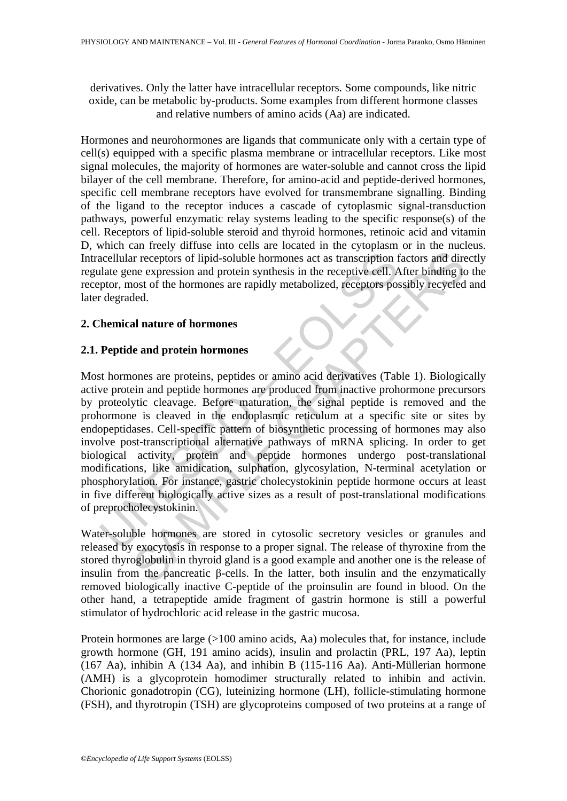derivatives. Only the latter have intracellular receptors. Some compounds, like nitric oxide, can be metabolic by-products. Some examples from different hormone classes and relative numbers of amino acids (Aa) are indicated.

Hormones and neurohormones are ligands that communicate only with a certain type of cell(s) equipped with a specific plasma membrane or intracellular receptors. Like most signal molecules, the majority of hormones are water-soluble and cannot cross the lipid bilayer of the cell membrane. Therefore, for amino-acid and peptide-derived hormones, specific cell membrane receptors have evolved for transmembrane signalling. Binding of the ligand to the receptor induces a cascade of cytoplasmic signal-transduction pathways, powerful enzymatic relay systems leading to the specific response(s) of the cell. Receptors of lipid-soluble steroid and thyroid hormones, retinoic acid and vitamin D, which can freely diffuse into cells are located in the cytoplasm or in the nucleus. Intracellular receptors of lipid-soluble hormones act as transcription factors and directly regulate gene expression and protein synthesis in the receptive cell. After binding to the receptor, most of the hormones are rapidly metabolized, receptors possibly recycled and later degraded.

# **2. Chemical nature of hormones**

# **2.1. Peptide and protein hormones**

acellular receptors of lipid-soluble hormones act as transcription flate gene expression and protein synthesis in the receptive cell. *A* ptor, most of the hormones are rapidly metabolized, receptors positively degraded.<br> In receptors of lipid-soluble hormones act as transcription factors and dire<br>in receptors of lipid-soluble hormones act as transcription factors and dire<br>ne expression and protein synthesis in the receptive cell. After bi Most hormones are proteins, peptides or amino acid derivatives (Table 1). Biologically active protein and peptide hormones are produced from inactive prohormone precursors by proteolytic cleavage. Before maturation, the signal peptide is removed and the prohormone is cleaved in the endoplasmic reticulum at a specific site or sites by endopeptidases. Cell-specific pattern of biosynthetic processing of hormones may also involve post-transcriptional alternative pathways of mRNA splicing. In order to get biological activity, protein and peptide hormones undergo post-translational modifications, like amidication, sulphation, glycosylation, N-terminal acetylation or phosphorylation. For instance, gastric cholecystokinin peptide hormone occurs at least in five different biologically active sizes as a result of post-translational modifications of preprocholecystokinin.

Water-soluble hormones are stored in cytosolic secretory vesicles or granules and released by exocytosis in response to a proper signal. The release of thyroxine from the stored thyroglobulin in thyroid gland is a good example and another one is the release of insulin from the pancreatic β-cells. In the latter, both insulin and the enzymatically removed biologically inactive C-peptide of the proinsulin are found in blood. On the other hand, a tetrapeptide amide fragment of gastrin hormone is still a powerful stimulator of hydrochloric acid release in the gastric mucosa.

Protein hormones are large (>100 amino acids, Aa) molecules that, for instance, include growth hormone (GH, 191 amino acids), insulin and prolactin (PRL, 197 Aa), leptin (167 Aa), inhibin A (134 Aa), and inhibin B (115-116 Aa). Anti-Müllerian hormone (AMH) is a glycoprotein homodimer structurally related to inhibin and activin. Chorionic gonadotropin (CG), luteinizing hormone (LH), follicle-stimulating hormone (FSH), and thyrotropin (TSH) are glycoproteins composed of two proteins at a range of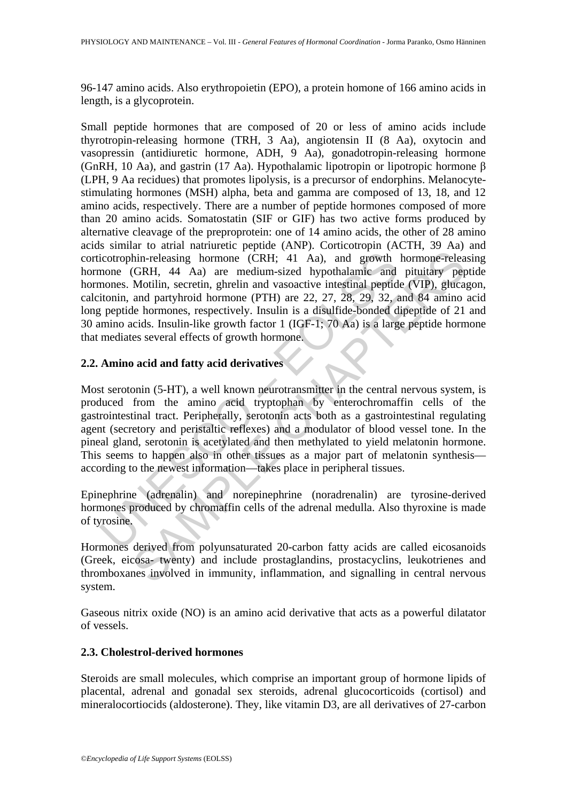96-147 amino acids. Also erythropoietin (EPO), a protein homone of 166 amino acids in length, is a glycoprotein.

icotrophin-releasing hormone (CRH; 41 Aa), and growth<br>mone (GRH, 44 Aa) are medium-sized hypothalamic and<br>mones. Motilin, secretin, ghrelin and vasoactive intestinal peptid<br>itonin, and partyhroid hormone (PTH) are 22, 27, hin-releasing hormone (CRH; 41 Aa), and growth hormone-releasem formone (CRH; 44 Aa) are medium-sized hypothalamic and pituitary per Motilin, secretin, ghrelin and vasoactive intestinal peptide (VIP), gluccal partyhroid ho Small peptide hormones that are composed of 20 or less of amino acids include thyrotropin-releasing hormone (TRH, 3 Aa), angiotensin II (8 Aa), oxytocin and vasopressin (antidiuretic hormone, ADH, 9 Aa), gonadotropin-releasing hormone (GnRH, 10 Aa), and gastrin (17 Aa). Hypothalamic lipotropin or lipotropic hormone β (LPH, 9 Aa recidues) that promotes lipolysis, is a precursor of endorphins. Melanocytestimulating hormones (MSH) alpha, beta and gamma are composed of 13, 18, and 12 amino acids, respectively. There are a number of peptide hormones composed of more than 20 amino acids. Somatostatin (SIF or GIF) has two active forms produced by alternative cleavage of the preproprotein: one of 14 amino acids, the other of 28 amino acids similar to atrial natriuretic peptide (ANP). Corticotropin (ACTH, 39 Aa) and corticotrophin-releasing hormone (CRH; 41 Aa), and growth hormone-releasing hormone (GRH, 44 Aa) are medium-sized hypothalamic and pituitary peptide hormones. Motilin, secretin, ghrelin and vasoactive intestinal peptide (VIP), glucagon, calcitonin, and partyhroid hormone (PTH) are 22, 27, 28, 29, 32, and 84 amino acid long peptide hormones, respectively. Insulin is a disulfide-bonded dipeptide of 21 and 30 amino acids. Insulin-like growth factor 1 (IGF-1; 70 Aa) is a large peptide hormone that mediates several effects of growth hormone.

# **2.2. Amino acid and fatty acid derivatives**

Most serotonin (5-HT), a well known neurotransmitter in the central nervous system, is produced from the amino acid tryptophan by enterochromaffin cells of the gastrointestinal tract. Peripherally, serotonin acts both as a gastrointestinal regulating agent (secretory and peristaltic reflexes) and a modulator of blood vessel tone. In the pineal gland, serotonin is acetylated and then methylated to yield melatonin hormone. This seems to happen also in other tissues as a major part of melatonin synthesis according to the newest information—takes place in peripheral tissues.

Epinephrine (adrenalin) and norepinephrine (noradrenalin) are tyrosine-derived hormones produced by chromaffin cells of the adrenal medulla. Also thyroxine is made of tyrosine.

Hormones derived from polyunsaturated 20-carbon fatty acids are called eicosanoids (Greek, eicosa- twenty) and include prostaglandins, prostacyclins, leukotrienes and thromboxanes involved in immunity, inflammation, and signalling in central nervous system.

Gaseous nitrix oxide (NO) is an amino acid derivative that acts as a powerful dilatator of vessels.

# **2.3. Cholestrol-derived hormones**

Steroids are small molecules, which comprise an important group of hormone lipids of placental, adrenal and gonadal sex steroids, adrenal glucocorticoids (cortisol) and mineralocortiocids (aldosterone). They, like vitamin D3, are all derivatives of 27-carbon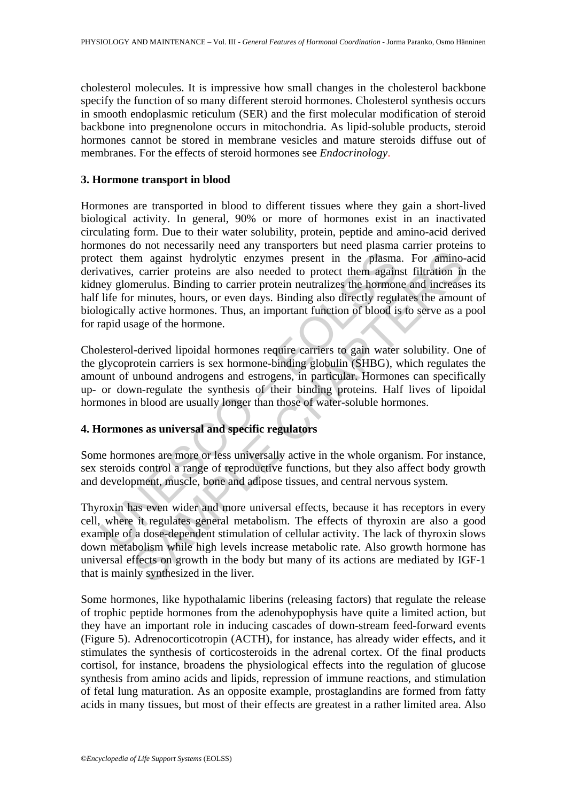cholesterol molecules. It is impressive how small changes in the cholesterol backbone specify the function of so many different steroid hormones. Cholesterol synthesis occurs in smooth endoplasmic reticulum (SER) and the first molecular modification of steroid backbone into pregnenolone occurs in mitochondria. As lipid-soluble products, steroid hormones cannot be stored in membrane vesicles and mature steroids diffuse out of membranes. For the effects of steroid hormones see *Endocrinology*.

#### **3. Hormone transport in blood**

ect them against hydrolytic enzymes present in the plasma<br>vatives, carrier proteins are also needed to protect them again<br>ey glomerulus. Binding to carrier protein neutralizes the hormon<br>life for minutes, hours, or even da is a many and specific energy and specific energy and the plasma. For amino-<br>carrier proteins are also needed to protect them against filtration in<br>merulus. Binding to carrier protein neutralizes the hormone and increases<br> Hormones are transported in blood to different tissues where they gain a short-lived biological activity. In general, 90% or more of hormones exist in an inactivated circulating form. Due to their water solubility, protein, peptide and amino-acid derived hormones do not necessarily need any transporters but need plasma carrier proteins to protect them against hydrolytic enzymes present in the plasma. For amino-acid derivatives, carrier proteins are also needed to protect them against filtration in the kidney glomerulus. Binding to carrier protein neutralizes the hormone and increases its half life for minutes, hours, or even days. Binding also directly regulates the amount of biologically active hormones. Thus, an important function of blood is to serve as a pool for rapid usage of the hormone.

Cholesterol-derived lipoidal hormones require carriers to gain water solubility. One of the glycoprotein carriers is sex hormone-binding globulin (SHBG), which regulates the amount of unbound androgens and estrogens, in particular. Hormones can specifically up- or down-regulate the synthesis of their binding proteins. Half lives of lipoidal hormones in blood are usually longer than those of water-soluble hormones.

# **4. Hormones as universal and specific regulators**

Some hormones are more or less universally active in the whole organism. For instance, sex steroids control a range of reproductive functions, but they also affect body growth and development, muscle, bone and adipose tissues, and central nervous system.

Thyroxin has even wider and more universal effects, because it has receptors in every cell, where it regulates general metabolism. The effects of thyroxin are also a good example of a dose-dependent stimulation of cellular activity. The lack of thyroxin slows down metabolism while high levels increase metabolic rate. Also growth hormone has universal effects on growth in the body but many of its actions are mediated by IGF-1 that is mainly synthesized in the liver.

Some hormones, like hypothalamic liberins (releasing factors) that regulate the release of trophic peptide hormones from the adenohypophysis have quite a limited action, but they have an important role in inducing cascades of down-stream feed-forward events (Figure 5). Adrenocorticotropin (ACTH), for instance, has already wider effects, and it stimulates the synthesis of corticosteroids in the adrenal cortex. Of the final products cortisol, for instance, broadens the physiological effects into the regulation of glucose synthesis from amino acids and lipids, repression of immune reactions, and stimulation of fetal lung maturation. As an opposite example, prostaglandins are formed from fatty acids in many tissues, but most of their effects are greatest in a rather limited area. Also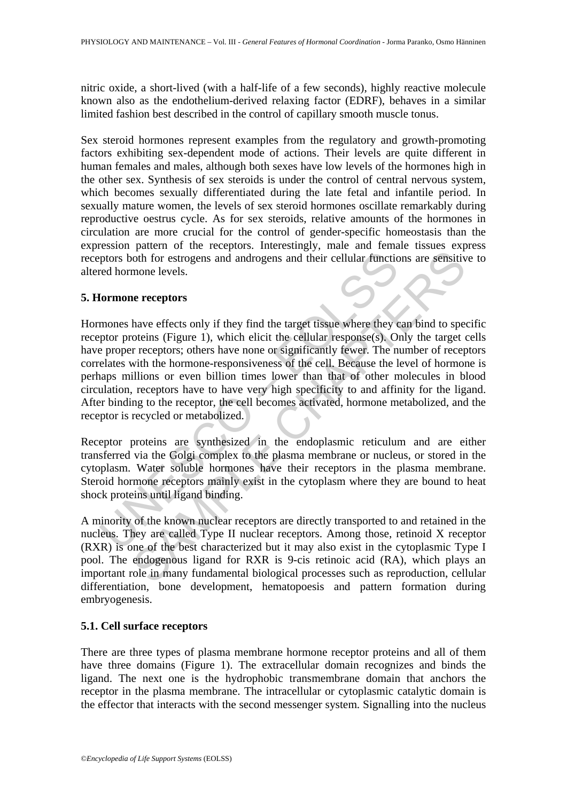nitric oxide, a short-lived (with a half-life of a few seconds), highly reactive molecule known also as the endothelium-derived relaxing factor (EDRF), behaves in a similar limited fashion best described in the control of capillary smooth muscle tonus.

Sex steroid hormones represent examples from the regulatory and growth-promoting factors exhibiting sex-dependent mode of actions. Their levels are quite different in human females and males, although both sexes have low levels of the hormones high in the other sex. Synthesis of sex steroids is under the control of central nervous system, which becomes sexually differentiated during the late fetal and infantile period. In sexually mature women, the levels of sex steroid hormones oscillate remarkably during reproductive oestrus cycle. As for sex steroids, relative amounts of the hormones in circulation are more crucial for the control of gender-specific homeostasis than the expression pattern of the receptors. Interestingly, male and female tissues express receptors both for estrogens and androgens and their cellular functions are sensitive to altered hormone levels.

### **5. Hormone receptors**

ptors both for estrogens and androgens and their cellular functiced hormone levels.<br> **Cormone receptors**<br> **Cormone receptors**<br> **Cormone receptors**<br> **Cormone receptors**<br> **Cormone receptors**<br> **Cormone receptors**<br> **Cormone re** For extraparameterized in the endoplasmic restriction and retained in<br>the endoperation of the strength in the endoperation of the control of<br>the receptors of receptors of receptors; others have none or significantly fewer. Hormones have effects only if they find the target tissue where they can bind to specific receptor proteins (Figure 1), which elicit the cellular response(s). Only the target cells have proper receptors; others have none or significantly fewer. The number of receptors correlates with the hormone-responsiveness of the cell. Because the level of hormone is perhaps millions or even billion times lower than that of other molecules in blood circulation, receptors have to have very high specificity to and affinity for the ligand. After binding to the receptor, the cell becomes activated, hormone metabolized, and the receptor is recycled or metabolized.

Receptor proteins are synthesized in the endoplasmic reticulum and are either transferred via the Golgi complex to the plasma membrane or nucleus, or stored in the cytoplasm. Water soluble hormones have their receptors in the plasma membrane. Steroid hormone receptors mainly exist in the cytoplasm where they are bound to heat shock proteins until ligand binding.

A minority of the known nuclear receptors are directly transported to and retained in the nucleus. They are called Type II nuclear receptors. Among those, retinoid X receptor (RXR) is one of the best characterized but it may also exist in the cytoplasmic Type I pool. The endogenous ligand for RXR is 9-cis retinoic acid (RA), which plays an important role in many fundamental biological processes such as reproduction, cellular differentiation, bone development, hematopoesis and pattern formation during embryogenesis.

### **5.1. Cell surface receptors**

There are three types of plasma membrane hormone receptor proteins and all of them have three domains (Figure 1). The extracellular domain recognizes and binds the ligand. The next one is the hydrophobic transmembrane domain that anchors the receptor in the plasma membrane. The intracellular or cytoplasmic catalytic domain is the effector that interacts with the second messenger system. Signalling into the nucleus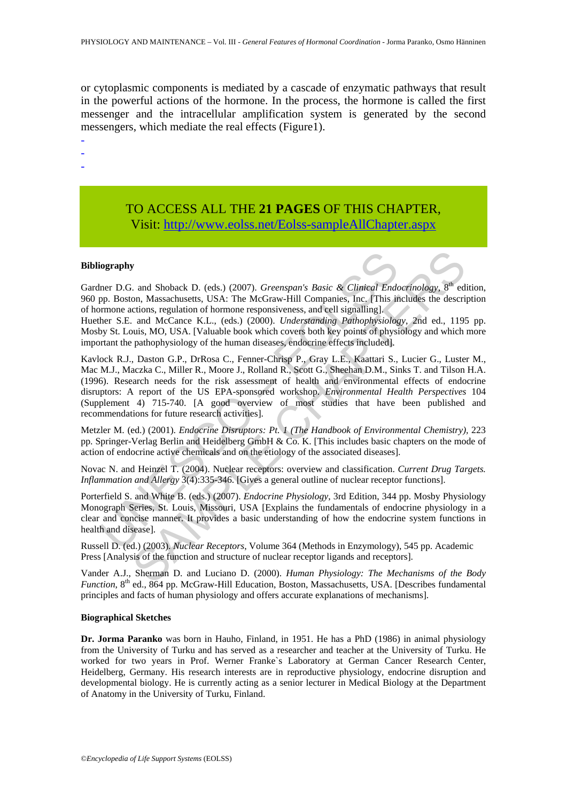or cytoplasmic components is mediated by a cascade of enzymatic pathways that result in the powerful actions of the hormone. In the process, the hormone is called the first messenger and the intracellular amplification system is generated by the second messengers, which mediate the real effects (Figure1).

- -

-

# TO ACCESS ALL THE **21 PAGES** OF THIS CHAPTER, Visit: [http://www.eolss.net/Eolss-sampleAllChapter.aspx](https://www.eolss.net/ebooklib/sc_cart.aspx?File=E6-54-05-01)

#### **Bibliography**

Gardner D.G. and Shoback D. (eds.) (2007). *Greenspan's Basic & Clinical Endocrinology*, 8<sup>th</sup> edition, 960 pp. Boston, Massachusetts, USA: The McGraw-Hill Companies, Inc. [This includes the description of hormone actions, regulation of hormone responsiveness, and cell signalling].

Huether S.E. and McCance K.L., (eds.) (2000). *Understanding Pathophysiology*, 2nd ed., 1195 pp. Mosby St. Louis, MO, USA. [Valuable book which covers both key points of physiology and which more important the pathophysiology of the human diseases, endocrine effects included].

iography<br>
iner D.G. and Shoback D. (eds.) (2007). *Greenspan's Basic* & *Clinical Ende*<br>
pp. Boston, Massachusetts, USA: The McGraw-Hill Companies, Inc. [This if<br>
pm-Boston, Massachusetts, USA: The McGraw-Hill Companies, I s. and Shoback D. (eds.) (2007). *Greenspan's Basic* & *Cliniteal Endocrinology*,  $8^{\text{th}}$  eds.) (2007). *Greenspan's Basic* & *Cliniteal Endocrinology*,  $8^{\text{th}}$  eds.) (2007). *Chderswohning* Pathody,  $8^{\text{th}}$  eds. (1 Kavlock R.J., Daston G.P., DrRosa C., Fenner-Chrisp P., Gray L.E., Kaattari S., Lucier G., Luster M., Mac M.J., Maczka C., Miller R., Moore J., Rolland R., Scott G., Sheehan D.M., Sinks T. and Tilson H.A. (1996). Research needs for the risk assessment of health and environmental effects of endocrine disruptors: A report of the US EPA-sponsored workshop. *Environmental Health Perspectives* 104 (Supplement 4) 715-740. [A good overview of most studies that have been published and recommendations for future research activities].

Metzler M. (ed.) (2001). *Endocrine Disruptors: Pt. 1 (The Handbook of Environmental Chemistry),* 223 pp. Springer-Verlag Berlin and Heidelberg GmbH & Co. K. [This includes basic chapters on the mode of action of endocrine active chemicals and on the etiology of the associated diseases].

Novac N. and Heinzel T. (2004). Nuclear receptors: overview and classification. *Current Drug Targets. Inflammation and Allergy* 3(4):335-346. [Gives a general outline of nuclear receptor functions].

Porterfield S. and White B. (eds.) (2007). *Endocrine Physiology*, 3rd Edition, 344 pp. Mosby Physiology Monograph Series, St. Louis, Missouri, USA [Explains the fundamentals of endocrine physiology in a clear and concise manner. It provides a basic understanding of how the endocrine system functions in health and disease].

Russell D. (ed.) (2003). *Nuclear Receptors*, Volume 364 (Methods in Enzymology), 545 pp. Academic Press [Analysis of the function and structure of nuclear receptor ligands and receptors].

Vander A.J., Sherman D. and Luciano D. (2000). *Human Physiology: The Mechanisms of the Body Function*, 8<sup>th</sup> ed., 864 pp. McGraw-Hill Education, Boston, Massachusetts, USA. [Describes fundamental] principles and facts of human physiology and offers accurate explanations of mechanisms].

#### **Biographical Sketches**

**Dr. Jorma Paranko** was born in Hauho, Finland, in 1951. He has a PhD (1986) in animal physiology from the University of Turku and has served as a researcher and teacher at the University of Turku. He worked for two years in Prof. Werner Franke`s Laboratory at German Cancer Research Center, Heidelberg, Germany. His research interests are in reproductive physiology, endocrine disruption and developmental biology. He is currently acting as a senior lecturer in Medical Biology at the Department of Anatomy in the University of Turku, Finland.